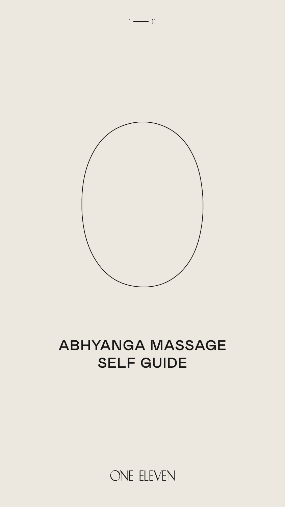



# ABHYANGA MASSAGE SELF GUIDE

ONE ELEVEN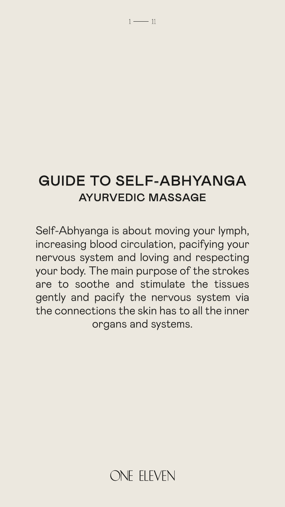### GUIDE TO SELF-ABHYANGA AYURVEDIC MASSAGE

 $1 \longrightarrow 11$ 

Self-Abhyanga is about moving your lymph, increasing blood circulation, pacifying your nervous system and loving and respecting your body. The main purpose of the strokes are to soothe and stimulate the tissues gently and pacify the nervous system via the connections the skin has to all the inner organs and systems.

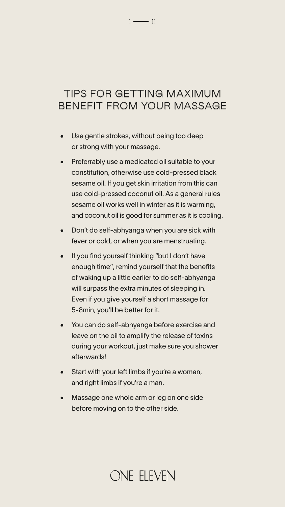#### $1 \longrightarrow 11$

### TIPS FOR GETTING MAXIMUM BENEFIT FROM YOUR MASSAGE

- Use gentle strokes, without being too deep or strong with your massage.
- Preferrably use a medicated oil suitable to your constitution, otherwise use cold-pressed black sesame oil. If you get skin irritation from this can use cold-pressed coconut oil. As a general rules sesame oil works well in winter as it is warming, and coconut oil is good for summer as it is cooling.
- Don't do self-abhyanga when you are sick with fever or cold, or when you are menstruating.
- If you find yourself thinking "but I don't have enough time", remind yourself that the benefits of waking up a little earlier to do self-abhyanga
	- will surpass the extra minutes of sleeping in. Even if you give yourself a short massage for 5-8min, you'll be better for it.
- You can do self-abhyanga before exercise and leave on the oil to amplify the release of toxins during your workout, just make sure you shower afterwards!
- Start with your left limbs if you're a woman, and right limbs if you're a man.
- Massage one whole arm or leg on one side before moving on to the other side.

# ONE ELEVEN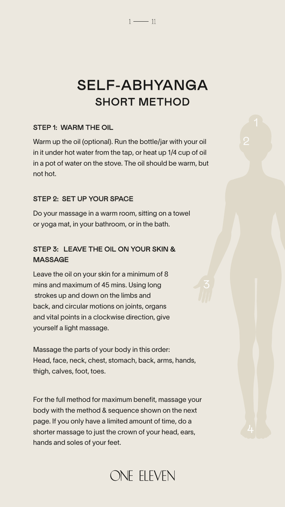2

3

4

#### STEP 1: WARM THE OIL

Warm up the oil (optional). Run the bottle/jar with your oil in it under hot water from the tap, or heat up 1/4 cup of oil in a pot of water on the stove. The oil should be warm, but not hot.

### STEP 2: SET UP YOUR SPACE

Do your massage in a warm room, sitting on a towel or yoga mat, in your bathroom, or in the bath.

### STEP 3: LEAVE THE OIL ON YOUR SKIN & MASSAGE

Leave the oil on your skin for a minimum of 8 mins and maximum of 45 mins. Using long strokes up and down on the limbs and back, and circular motions on joints, organs and vital points in a clockwise direction, give yourself a light massage.



Massage the parts of your body in this order: Head, face, neck, chest, stomach, back, arms, hands, thigh, calves, foot, toes.

For the full method for maximum benefit, massage your body with the method & sequence shown on the next page. If you only have a limited amount of time, do a shorter massage to just the crown of your head, ears, hands and soles of your feet.



# SELF-ABHYANGA SHORT METHOD

 $1 \longrightarrow 11$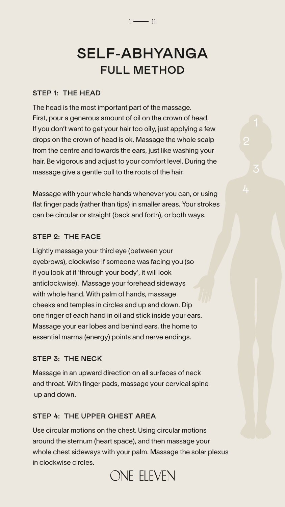#### STEP 1: THE HEAD

The head is the most important part of the massage. First, pour a generous amount of oil on the crown of head. If you don't want to get your hair too oily, just applying a few drops on the crown of head is ok. Massage the whole scalp from the centre and towards the ears, just like washing your hair. Be vigorous and adjust to your comfort level. During the massage give a gentle pull to the roots of the hair.

Massage with your whole hands whenever you can, or using flat finger pads (rather than tips) in smaller areas. Your strokes can be circular or straight (back and forth), or both ways.

#### STEP 2: THE FACE

Lightly massage your third eye (between your eyebrows), clockwise if someone was facing you (so if you look at it 'through your body', it will look anticlockwise). Massage your forehead sideways with whole hand. With palm of hands, massage cheeks and temples in circles and up and down. Dip one finger of each hand in oil and stick inside your ears. Massage your ear lobes and behind ears, the home to essential marma (energy) points and nerve endings.

#### STEP 3: THE NECK

Massage in an upward direction on all surfaces of neck and throat. With finger pads, massage your cervical spine up and down.

### STEP 4: THE UPPER CHEST AREA

Use circular motions on the chest. Using circular motions around the sternum (heart space), and then massage your whole chest sideways with your palm. Massage the solar plexus in clockwise circles.

### ONE ELEVEN

# SELF-ABHYANGA FULL METHOD

 $1 \longrightarrow 11$ 

2

3

4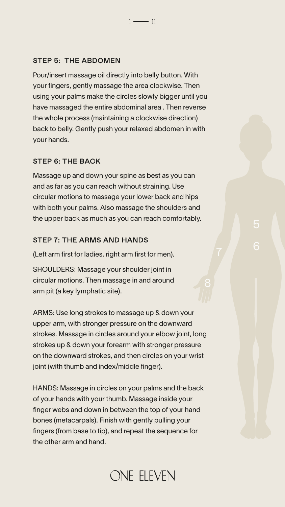#### STEP 5: THE ABDOMEN

Pour/insert massage oil directly into belly button. With your fingers, gently massage the area clockwise. Then using your palms make the circles slowly bigger until you have massaged the entire abdominal area . Then reverse the whole process (maintaining a clockwise direction) back to belly. Gently push your relaxed abdomen in with your hands.

 $1 - 11$ 

#### STEP 6: THE BACK

Massage up and down your spine as best as you can and as far as you can reach without straining. Use circular motions to massage your lower back and hips with both your palms. Also massage the shoulders and the upper back as much as you can reach comfortably.

#### STEP 7: THE ARMS AND HANDS

(Left arm first for ladies, right arm first for men).

SHOULDERS: Massage your shoulder joint in circular motions. Then massage in and around

arm pit (a key lymphatic site).

ARMS: Use long strokes to massage up & down your upper arm, with stronger pressure on the downward strokes. Massage in circles around your elbow joint, long strokes up & down your forearm with stronger pressure on the downward strokes, and then circles on your wrist joint (with thumb and index/middle finger).

HANDS: Massage in circles on your palms and the back of your hands with your thumb. Massage inside your finger webs and down in between the top of your hand bones (metacarpals). Finish with gently pulling your fingers (from base to tip), and repeat the sequence for the other arm and hand.

### ONE ELEVEN

5